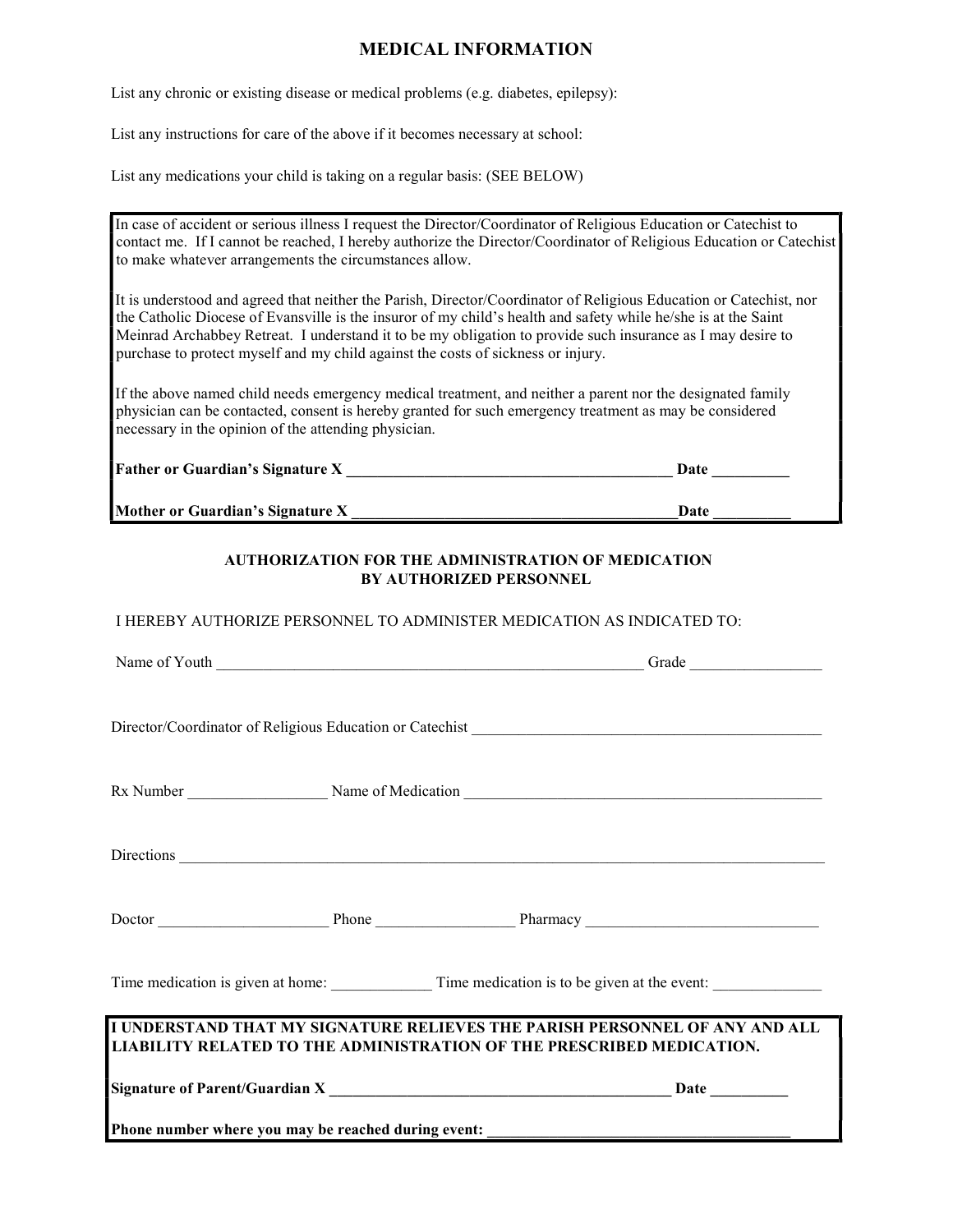## MEDICAL INFORMATION

List any chronic or existing disease or medical problems (e.g. diabetes, epilepsy):

List any instructions for care of the above if it becomes necessary at school:

List any medications your child is taking on a regular basis: (SEE BELOW)

In case of accident or serious illness I request the Director/Coordinator of Religious Education or Catechist to contact me. If I cannot be reached, I hereby authorize the Director/Coordinator of Religious Education or Catechist to make whatever arrangements the circumstances allow.

It is understood and agreed that neither the Parish, Director/Coordinator of Religious Education or Catechist, nor the Catholic Diocese of Evansville is the insuror of my child's health and safety while he/she is at the Saint Meinrad Archabbey Retreat. I understand it to be my obligation to provide such insurance as I may desire to purchase to protect myself and my child against the costs of sickness or injury.

If the above named child needs emergency medical treatment, and neither a parent nor the designated family physician can be contacted, consent is hereby granted for such emergency treatment as may be considered necessary in the opinion of the attending physician.

| <b>Father or Guardian's Signature X</b> | Date |  |
|-----------------------------------------|------|--|
| Mother or Guardian's Signature X        | Date |  |

## AUTHORIZATION FOR THE ADMINISTRATION OF MEDICATION BY AUTHORIZED PERSONNEL

I HEREBY AUTHORIZE PERSONNEL TO ADMINISTER MEDICATION AS INDICATED TO:

| Time medication is given at home: Time medication is to be given at the event:                                                                       |  |  |  |  |  |
|------------------------------------------------------------------------------------------------------------------------------------------------------|--|--|--|--|--|
| I UNDERSTAND THAT MY SIGNATURE RELIEVES THE PARISH PERSONNEL OF ANY AND ALL<br>LIABILITY RELATED TO THE ADMINISTRATION OF THE PRESCRIBED MEDICATION. |  |  |  |  |  |
|                                                                                                                                                      |  |  |  |  |  |
| Phone number where you may be reached during event: _____________________________                                                                    |  |  |  |  |  |